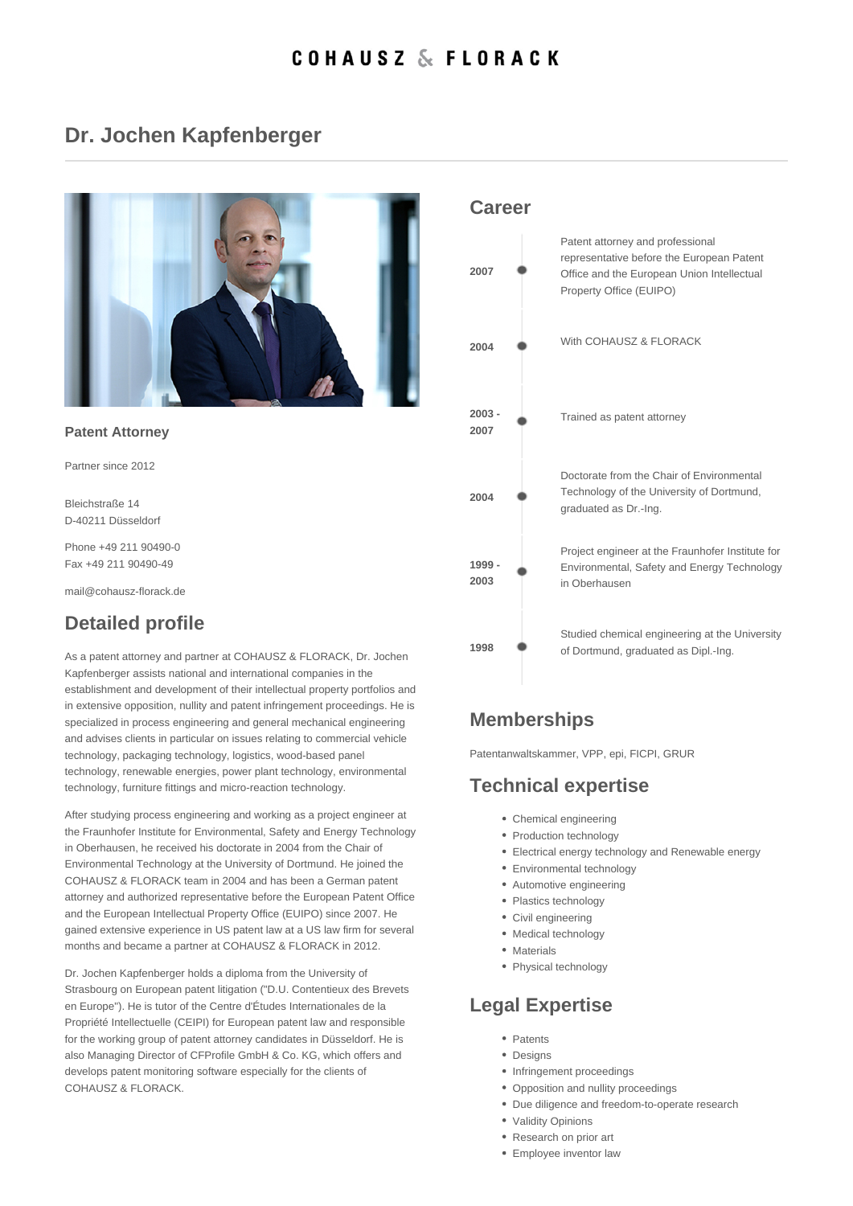### Dr. Jochen Kapfenberger

| Patent Attorney                               |  |  |
|-----------------------------------------------|--|--|
| Partner since 2012                            |  |  |
| Bleichstraße 14<br>D-40211 Düsseldorf         |  |  |
| Phone +49 211 90490-0<br>Fax +49 211 90490-49 |  |  |
| mail@cohausz-florack.de                       |  |  |

## Detailed profile

As a patent attorney and partner at COHAUSZ & FLORACK, Dr. Jochen Kapfenberger assists national and international companies in the establishment and development of their intellectual property portfolios and in extensive opposition, nullity and patent infringement proceedings. He is specialized in process engineering and general mechanical engineering and advises clients in particular on issues relating to commercial vehicle technology, packaging technology, logistics, wood-based panel technology, renewable energies, power plant technology, environmental technology, furniture fittings and micro-reaction technology.

After studying process engineering and working as a project engineer at the Fraunhofer Institute for Environmental, Safety and Energy Technology in Oberhausen, he received his doctorate in 2004 from the Chair of Environmental Technology at the University of Dortmund. He joined the COHAUSZ & FLORACK team in 2004 and has been a German patent attorney and authorized representative before the European Patent Office and the European Intellectual Property Office (EUIPO) since 2007. He gained extensive experience in US patent law at a US law firm for several months and became a partner at COHAUSZ & FLORACK in 2012.

Dr. Jochen Kapfenberger holds a diploma from the University of Strasbourg on European patent litigation ("D.U. Contentieux des Brevets en Europe"). He is tutor of the Centre d'Études Internationales de la Propriété Intellectuelle (CEIPI) for European patent law and responsible for the working group of patent attorney candidates in Düsseldorf. He is also Managing Director of CFProfile GmbH & Co. KG, which offers and develops patent monitoring software especially for the clients of COHAUSZ & FLORACK.

#### Career

| 2007             | Patent attorney and professional<br>representative before the European Patent<br>Office and the European Union Intellectual<br>Property Office (EUIPO) |
|------------------|--------------------------------------------------------------------------------------------------------------------------------------------------------|
| 2004             | With COHAUSZ & FLORACK                                                                                                                                 |
| $2003 -$<br>2007 | Trained as patent attorney                                                                                                                             |
| 2004             | Doctorate from the Chair of Environmental<br>Technology of the University of Dortmund,<br>graduated as Dr.-Ing.                                        |
| $1999 -$<br>2003 | Project engineer at the Fraunhofer Institute for<br>Environmental, Safety and Energy Technology<br>in Oberhausen                                       |
| 1998             | Studied chemical engineering at the University<br>of Dortmund, graduated as Dipl.-Ing.                                                                 |

# **Memberships**

Patentanwaltskammer, VPP, epi, FICPI, GRUR

# Technical expertise

- Chemical engineering
- Production technology
- Electrical energy technology and Renewable energy
- Environmental technology
- Automotive engineering
- Plastics technology
- Civil engineering
- Medical technology
- Materials
- Physical technology

## Legal Expertise

- Patents
- Designs
- Infringement proceedings
- Opposition and nullity proceedings
- Due diligence and freedom-to-operate research
- Validity Opinions
- Research on prior art
- Employee inventor law